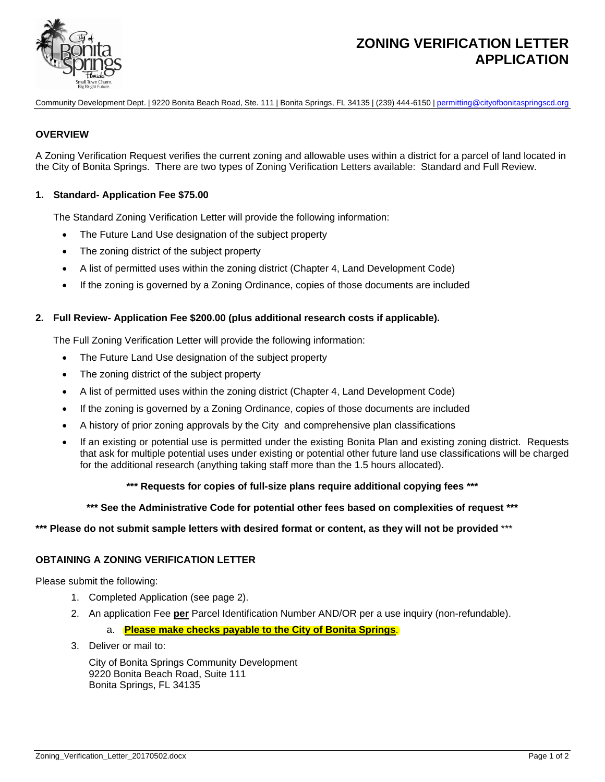

# **ZONING VERIFICATION LETTER APPLICATION**

Community Development Dept. | 9220 Bonita Beach Road, Ste. 111 | Bonita Springs, FL 34135 | (239) 444-6150 [| permitting@cityofbonitaspringscd.org](mailto:Permitting@cityofbonitaspringscd.org)

## **OVERVIEW**

A Zoning Verification Request verifies the current zoning and allowable uses within a district for a parcel of land located in the City of Bonita Springs. There are two types of Zoning Verification Letters available: Standard and Full Review.

## **1. Standard- Application Fee \$75.00**

The Standard Zoning Verification Letter will provide the following information:

- The Future Land Use designation of the subject property
- The zoning district of the subject property
- A list of permitted uses within the zoning district (Chapter 4, Land Development Code)
- If the zoning is governed by a Zoning Ordinance, copies of those documents are included

#### **2. Full Review- Application Fee \$200.00 (plus additional research costs if applicable).**

The Full Zoning Verification Letter will provide the following information:

- The Future Land Use designation of the subject property
- The zoning district of the subject property
- A list of permitted uses within the zoning district (Chapter 4, Land Development Code)
- If the zoning is governed by a Zoning Ordinance, copies of those documents are included
- A history of prior zoning approvals by the City and comprehensive plan classifications
- If an existing or potential use is permitted under the existing Bonita Plan and existing zoning district. Requests that ask for multiple potential uses under existing or potential other future land use classifications will be charged for the additional research (anything taking staff more than the 1.5 hours allocated).

#### **\*\*\* Requests for copies of full-size plans require additional copying fees \*\*\***

#### **\*\*\* See the Administrative Code for potential other fees based on complexities of request \*\*\***

#### **\*\*\* Please do not submit sample letters with desired format or content, as they will not be provided** \*\*\*

#### **OBTAINING A ZONING VERIFICATION LETTER**

Please submit the following:

- 1. Completed Application (see page 2).
- 2. An application Fee **per** Parcel Identification Number AND/OR per a use inquiry (non-refundable).

### a. **Please make checks payable to the City of Bonita Springs**.

3. Deliver or mail to:

City of Bonita Springs Community Development 9220 Bonita Beach Road, Suite 111 Bonita Springs, FL 34135